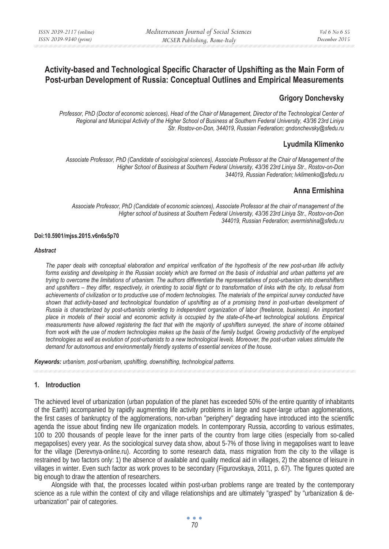# **Activity-based and Technological Specific Character of Upshifting as the Main Form of Post-urban Development of Russia: Conceptual Outlines and Empirical Measurements**

## **Grigory Donchevsky**

*Professor, PhD (Doctor of economic sciences), Head of the Chair of Management, Director of the Technological Center of Regional and Municipal Activity of the Higher School of Business at Southern Federal University, 43/36 23rd Liniya Str. Rostov-on-Don, 344019, Russian Federation; gndonchevsky@sfedu.ru* 

## **Lyudmila Klimenko**

*Associate Professor, PhD (Candidate of sociological sciences), Associate Professor at the Chair of Management of the Higher School of Business at Southern Federal University, 43/36 23rd Liniya Str., Rostov-on-Don 344019, Russian Federation; lvklimenko@sfedu.ru* 

## **Anna Ermishina**

*Associate Professor, PhD (Candidate of economic sciences), Associate Professor at the chair of management of the Higher school of business at Southern Federal University, 43/36 23rd Liniya Str., Rostov-on-Don 344019, Russian Federation; avermishina@sfedu.ru* 

### **Doi:10.5901/mjss.2015.v6n6s5p70**

#### *Abstract*

*The paper deals with conceptual elaboration and empirical verification of the hypothesis of the new post-urban life activity*  forms existing and developing in the Russian society which are formed on the basis of industrial and urban patterns yet are *trying to overcome the limitations of urbanism. The authors differentiate the representatives of post-urbanism into downshifters and upshifters – they differ, respectively, in orienting to social flight or to transformation of links with the city, to refusal from achievements of civilization or to productive use of modern technologies. The materials of the empirical survey conducted have shown that activity-based and technological foundation of upshifting as of a promising trend in post-urban development of Russia is characterized by post-urbanists orienting to independent organization of labor (freelance, business). An important place in models of their social and economic activity is occupied by the state-of-the-art technological solutions. Empirical measurements have allowed registering the fact that with the majority of upshifters surveyed, the share of income obtained from work with the use of modern technologies makes up the basis of the family budget. Growing productivity of the employed technologies as well as evolution of post-urbanists to a new technological levels. Moreover, the post-urban values stimulate the demand for autonomous and environmentally friendly systems of essential services of the house.* 

*Keywords: urbanism, post-urbanism, upshifting, downshifting, technological patterns.*

## **1. Introduction**

The achieved level of urbanization (urban population of the planet has exceeded 50% of the entire quantity of inhabitants of the Earth) accompanied by rapidly augmenting life activity problems in large and super-large urban agglomerations, the first cases of bankruptcy of the agglomerations, non-urban "periphery" degrading have introduced into the scientific agenda the issue about finding new life organization models. In contemporary Russia, according to various estimates, 100 to 200 thousands of people leave for the inner parts of the country from large cities (especially from so-called megapolises) every year. As the sociological survey data show, about 5-7% of those living in megapolises want to leave for the village (Derevnya-online.ru). According to some research data, mass migration from the city to the village is restrained by two factors only: 1) the absence of available and quality medical aid in villages, 2) the absence of leisure in villages in winter. Even such factor as work proves to be secondary (Figurovskaya, 2011, p. 67). The figures quoted are big enough to draw the attention of researchers.

Alongside with that, the processes located within post-urban problems range are treated by the contemporary science as a rule within the context of city and village relationships and are ultimately "grasped" by "urbanization & deurbanization" pair of categories.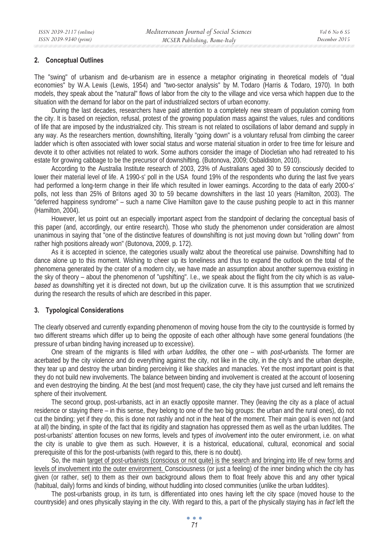### **2. Conceptual Outlines**

The "swing" of urbanism and de-urbanism are in essence a metaphor originating in theoretical models of "dual economies" by W.A. Lewis (Lewis, 1954) and "two-sector analysis" by M. Todaro (Harris & Todaro, 1970). In both models, they speak about the "natural" flows of labor from the city to the village and vice versa which happen due to the situation with the demand for labor on the part of industrialized sectors of urban economy.

During the last decades, researchers have paid attention to a completely new stream of population coming from the city. It is based on rejection, refusal, protest of the growing population mass against the values, rules and conditions of life that are imposed by the industrialized city. This stream is not related to oscillations of labor demand and supply in any way. As the researchers mention, downshifting, literally "going down" is a voluntary refusal from climbing the career ladder which is often associated with lower social status and worse material situation in order to free time for leisure and devote it to other activities not related to work. Some authors consider the image of Diocletian who had retreated to his estate for growing cabbage to be the precursor of downshifting. (Butonova, 2009; Osbaldiston, 2010).

According to the Australia Institute research of 2003, 23% of Australians aged 30 to 59 consciously decided to lower their material level of life. A 1990-s' poll in the USA found 19% of the respondents who during the last five years had performed a long-term change in their life which resulted in lower earnings. According to the data of early 2000-s' polls, not less than 25% of Britons aged 30 to 59 became downshifters in the last 10 years (Hamilton, 2003). The "deferred happiness syndrome" – such a name Clive Hamilton gave to the cause pushing people to act in this manner (Hamilton, 2004).

However, let us point out an especially important aspect from the standpoint of declaring the conceptual basis of this paper (and, accordingly, our entire research). Those who study the phenomenon under consideration are almost unanimous in saying that "one of the distinctive features of downshifting is not just moving down but "rolling down" from rather high positions already won" (Butonova, 2009, p. 172).

As it is accepted in science, the categories usually waltz about the theoretical use pairwise. Downshifting had to dance alone up to this moment. Wishing to cheer up its loneliness and thus to expand the outlook on the total of the phenomena generated by the crater of a modern city, we have made an assumption about another supernova existing in the sky of theory – about the phenomenon of "upshifting". I.e., we speak about the flight from the city which is as *valuebased* as downshifting yet it is directed not down, but up the civilization curve. It is this assumption that we scrutinized during the research the results of which are described in this paper.

## **3. Typological Considerations**

The clearly observed and currently expanding phenomenon of moving house from the city to the countryside is formed by two different streams which differ up to being the opposite of each other although have some general foundations (the pressure of urban binding having increased up to excessive).

One stream of the migrants is filled with *urban luddites,* the other one – with *post-urbanists.* The former are acerbated by the city violence and do everything against the city, not like in the city, in the city's and the urban despite, they tear up and destroy the urban binding perceiving it like shackles and manacles. Yet the most important point is that they do not build new involvements. The balance between binding and involvement is created at the account of loosening and even destroying the binding. At the best (and most frequent) case, the city they have just cursed and left remains the sphere of their involvement.

The second group, post-urbanists, act in an exactly opposite manner. They (leaving the city as a place of actual residence or staying there – in this sense, they belong to one of the two big groups: the urban and the rural ones), do not cut the binding; yet if they do, this is done not rashly and not in the heat of the moment. Their main goal is even not (and at all) the binding, in spite of the fact that its rigidity and stagnation has oppressed them as well as the urban luddites. The post-urbanists' attention focuses on new forms, levels and types of *involvement* into the outer environment, i.e. on what the city is unable to give them as such. However, it is a historical, educational, cultural, economical and social prerequisite of this for the post-urbanists (with regard to this, there is no doubt).

So, the main target of post-urbanists (conscious or not quite) is the search and bringing into life of new forms and levels of involvement into the outer environment. Consciousness (or just a feeling) of the inner binding which the city has given (or rather, set) to them as their own background allows them to float freely above this and any other typical (habitual, daily) forms and kinds of binding, without huddling into closed communities (unlike the urban luddites).

The post-urbanists group, in its turn, is differentiated into ones having left the city space (moved house to the countryside) and ones physically staying in the city. With regard to this, a part of the physically staying has *in fact* left the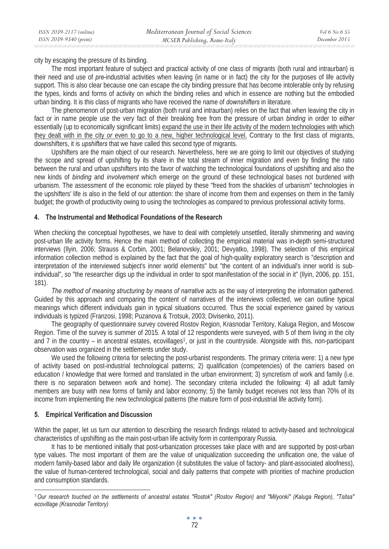city by escaping the pressure of its binding.

The most important feature of subject and practical activity of one class of migrants (both rural and intraurban) is their need and use of *pre*-industrial activities when leaving (in name or in fact) the city for the purposes of life activity support. This is also clear because one can escape the city binding pressure that has become intolerable only by refusing the types, kinds and forms of activity on which the binding relies and which in essence are nothing but the embodied urban binding. It is this class of migrants who have received the name of *downshifters* in literature.

The phenomenon of post-urban migration (both rural and intraurban) relies on the fact that when leaving the city in fact or in name people use the very fact of their breaking free from the pressure of urban *binding* in order to *either* essentially (up to economically significant limits) expand the use in their life activity of the modern technologies with which they dealt with in the city *or* even to go to a new, higher technological level. Contrary to the first class of migrants, downshifters, it is *upshifters* that we have called this second type of migrants.

Upshifters are the main object of our research. Nevertheless, here we are going to limit our objectives of studying the scope and spread of upshifting by its share in the total stream of inner migration and even by finding the ratio between the rural and urban upshifters into the favor of watching the technological foundations of upshifting and also the new kinds of *binding* and *involvement* which emerge on the ground of these technological bases not burdened with urbanism. The assessment of the economic role played by these "freed from the shackles of urbanism" technologies in the upshifters' life is also in the field of our attention: the share of income from them and expenses on them in the family budget; the growth of productivity owing to using the technologies as compared to previous professional activity forms.

## **4. The Instrumental and Methodical Foundations of the Research**

When checking the conceptual hypotheses, we have to deal with completely unsettled, literally shimmering and waving post-urban life activity forms. Hence the main method of collecting the empirical material was in-depth semi-structured interviews (Ilyin, 2006; Strauss & Corbin, 2001; Belanovskiy, 2001; Devyatko, 1998). The selection of this empirical information collection method is explained by the fact that the goal of high-quality exploratory search is "description and interpretation of the interviewed subject's inner world elements" but "the content of an individual's inner world is subindividual", so "the researcher digs up the individual in order to spot manifestation of the social in it" (Ilyin, 2006, pp. 151, 181).

*The method of meaning structuring by means of narrative* acts as the way of interpreting the information gathered. Guided by this approach and comparing the content of narratives of the interviews collected, we can outline typical meanings which different individuals gain in typical situations occurred. Thus the social experience gained by various individuals is typized (Franzosi, 1998; Puzanova & Trotsuk, 2003; Divisenko, 2011).

The geography of questionnaire survey covered Rostov Region, Krasnodar Territory, Kaluga Region, and Moscow Region. Time of the survey is summer of 2015. A total of 12 respondents were surveyed, with 5 of them living in the city and 7 in the country – in ancestral estates, ecovillages<sup>1</sup>, or just in the countryside. Alongside with this, non-participant observation was organized in the settlements under study.

We used the following criteria for selecting the post-urbanist respondents. The primary criteria were: 1) a new type of activity based on post-industrial technological patterns; 2) qualification (competencies) of the carriers based on education / knowledge that were formed and translated in the urban environment; 3) syncretism of work and family (i.e. there is no separation between work and home). The secondary criteria included the following: 4) all adult family members are busy with new forms of family and labor economy; 5) the family budget receives not less than 70% of its income from implementing the new technological patterns (the mature form of post-industrial life activity form).

## **5. Empirical Verification and Discussion**

Within the paper, let us turn our attention to describing the research findings related to activity-based and technological characteristics of upshifting as the main post-urban life activity form in contemporary Russia.

It has to be mentioned initially that post-urbanization processes take place with and are supported by post-urban type values. The most important of them are the value of uniqualization succeeding the unification one, the value of modern family-based labor and daily life organization (it substitutes the value of factory- and plant-associated aloofness), the value of human-centered technological, social and daily patterns that compete with priorities of machine production and consumption standards.

*<sup>1</sup> Our research touched on the settlements of ancestral estates "Rostok" (Rostov Region) and "Milyonki" (Kaluga Region), "Tsitsa" ecovillage (Krasnodar Territory)*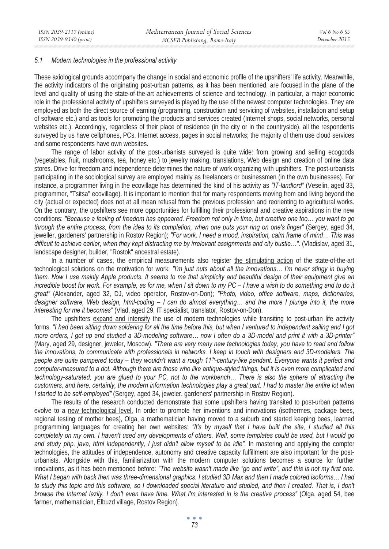#### *5.1 Modern technologies in the professional activity*

These axiological grounds accompany the change in social and economic profile of the upshifters' life activity. Meanwhile, the activity indicators of the originating post-urban patterns, as it has been mentioned, are focused in the plane of the level and quality of using the state-of-the-art achievements of science and technology. In particular, a major economic role in the professional activity of upshifters surveyed is played by the use of the newest computer technologies. They are employed as both the direct source of earning (programing, construction and servicing of websites, installation and setup of software etc.) and as tools for promoting the products and services created (Internet shops, social networks, personal websites etc.). Accordingly, regardless of their place of residence (in the city or in the countryside), all the respondents surveyed by us have cellphones, PCs, Internet access, pages in social networks; the majority of them use cloud services and some respondents have own websites.

The range of labor activity of the post-urbanists surveyed is quite wide: from growing and selling ecogoods (vegetables, fruit, mushrooms, tea, honey etc.) to jewelry making, translations, Web design and creation of online data stores. Drive for freedom and independence determines the nature of work organizing with upshifters. The post-urbanists participating in the sociological survey are employed mainly as freelancers or businessmen (in the own businesses). For instance, a programmer living in the ecovillage has determined the kind of his activity as *"IT-landlord"* (Veselin, aged 33, programmer, "Tsitsa" ecovillage). It is important to mention that for many respondents moving from and living beyond the city (actual or expected) does not at all mean refusal from the previous profession and reorienting to agricultural works. On the contrary, the upshifters see more opportunities for fulfilling their professional and creative aspirations in the new conditions: *"Because a feeling of freedom has appeared. Freedom not only in time, but creative one too… you want to go through the entire process, from the idea to its completion, when one puts your ring on one's finger"* (Sergey, aged 34, jeweller, gardeners' partnership in Rostov Region); *"For work, I need a mood, inspiration, calm frame of mind… This was difficult to achieve earlier, when they kept distracting me by irrelevant assignments and city bustle…".* (Vladislav, aged 31, landscape designer, builder, "Rostok" ancestral estate).

In a number of cases, the empirical measurements also register the stimulating action of the state-of-the-art technological solutions on the motivation for work: *"I'm just nuts about all the innovations… I'm never stingy in buying them. Now I use mainly Apple products. It seems to me that simplicity and beautiful design of their equipment give an incredible boost for work. For example, as for me, when I sit down to my PC – I have a wish to do something and to do it great"* (Alexander, aged 32, DJ, video operator, Rostov-on-Don); *"Photo, video, office software, maps, dictionaries, designer software, Web design, html-coding – I can do almost everything... and the more I plunge into it, the more interesting for me it becomes"* (Vlad, aged 29, IT specialist, translator, Rostov-on-Don)*.* 

The upshifters expand and intensify the use of modern technologies while transiting to post-urban life activity forms. *"I had been sitting down soldering for all the time before this, but when I ventured to independent sailing and I got more orders, I got up and studied a 3D-modeling software… now I often do a 3D-model and print it with a 3D-printer"*  (Mary, aged 29, designer, jeweler, Moscow). *"There are very many new technologies today, you have to read and follow the innovations, to communicate with professionals in networks. I keep in touch with designers and 3D-modelers. The people are quite pampered today – they wouldn't want a rough 11th-century-like pendant. Everyone wants it perfect and computer-measured to a dot. Although there are those who like antique-styled things, but it is even more complicated and technology-saturated, you are glued to your PC, not to the workbench... There is also the sphere of attracting the customers, and here, certainly, the modern information technologies play a great part. I had to master the entire lot when I started to be self-employed"* (Sergey, aged 34, jeweler, gardeners' partnership in Rostov Region).

The results of the research conducted demonstrate that some upshifters having transited to post-urban patterns evolve to a new technological level. In order to promote her inventions and innovations (isothermes, package bees, regional testing of mother bees), Olga, a mathematician having moved to a suburb and started keeping bees, learned programming languages for creating her own websites: *"It's by myself that I have built the site, I studied all this completely on my own. I haven't used any developments of others. Well, some templates could be used, but I would go*  and study php, java, html independently, I just didn't allow myself to be idle". In mastering and applying the compter technologies, the attitudes of independence, autonomy and creative capacity fulfillment are also important for the posturbanists. Alongside with this, familiarization with the modern computer solutions becomes a source for further innovations, as it has been mentioned before: *"The website wasn't made like "go and write", and this is not my first one. What I began with back then was three-dimensional graphics. I studied 3D Max and then I made colored isoforms… I had*  to study this topic and this software, so I downloaded special literature and studied, and then I created. That is, I don't *browse the Internet lazily, I don't even have time. What I'm interested in is the creative process"* (Olga, aged 54, bee farmer, mathematician, Elbuzd village, Rostov Region)*.*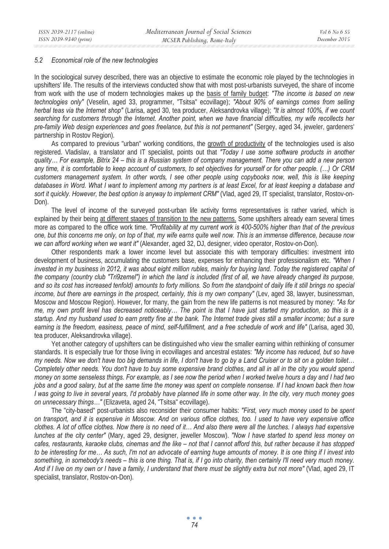#### *5.2 Economical role of the new technologies*

In the sociological survey described, there was an objective to estimate the economic role played by the technologies in upshifters' life. The results of the interviews conducted show that with most post-urbanists surveyed, the share of income from work with the use of modern technologies makes up the basis of family budget: *"The income is based on new technologies only"* (Veselin, aged 33, programmer, "Tsitsa" ecovillage); *"About 90% of earnings comes from selling herbal teas via the Internet shop"* (Larisa, aged 30, tea producer, Aleksandrovka village); *"It is almost 100%, if we count searching for customers through the Internet. Another point, when we have financial difficulties, my wife recollects her pre-family Web design experiences and goes freelance, but this is not permanent"* (Sergey, aged 34, jeweler, gardeners' partnership in Rostov Region).

As compared to previous "urban" working conditions, the growth of productivity of the technologies used is also registered. Vladislav, a translator and IT specialist, points out that *"Today I use some software products in another quality… For example, Bitrix 24 – this is a Russian system of company management. There you can add a new person any time, it is comfortable to keep account of customers, to set objectives for yourself or for other people. (…) Or CRM customers management system. In other words, I see other people using copybooks now, well, this is like keeping databases in Word. What I want to implement among my partners is at least Excel, for at least keeping a database and*  sort it quickly. However, the best option is anyway to implement CRM" (Vlad, aged 29, IT specialist, translator, Rostov-on-Don).

The level of income of the surveyed post-urban life activity forms representatives is rather varied, which is explained by their being at different stages of transition to the new patterns. Some upshifters already earn several times more as compared to the office work time. *"Profitability at my current work is 400-500% higher than that of the previous one, but this concerns me only, on top of that, my wife earns quite well now. This is an immense difference, because now we can afford working when we want it"* (Alexander, aged 32, DJ, designer, video operator, Rostov-on-Don).

Other respondents mark a lower income level but associate this with temporary difficulties: investment into development of business, accumulating the customers base, expenses for enhancing their professionalism etc. *"When I invested in my business in 2012, it was about eight million rubles, mainly for buying land. Today the registered capital of the company (country club "Tri9zemel") in which the land is included (first of all, we have already changed its purpose, and so its cost has increased tenfold) amounts to forty millions. So from the standpoint of daily life it still brings no special income, but there are earnings in the prospect, certainly, this is my own company"* (Lev, aged 38, lawyer, businessman, Moscow and Moscow Region). However, for many, the gain from the new life patterns is not measured by money: *"As for me, my own profit level has decreased noticeably… The point is that I have just started my production, so this is a startup. And my husband used to earn pretty fine at the bank. The Internet trade gives still a smaller income; but a sure earning is the freedom, easiness, peace of mind, self-fulfillment, and a free schedule of work and life"* (Larisa, aged 30, tea producer, Aleksandrovka village).

Yet another category of upshifters can be distinguished who view the smaller earning within rethinking of consumer standards. It is especially true for those living in ecovillages and ancestral estates: *"My income has reduced, but so have my needs. Now we don't have too big demands in life, I don't have to go by a Land Cruiser or to sit on a golden toilet… Completely other needs. You don't have to buy some expensive brand clothes, and all in all in the city you would spend money on some senseless things. For example, as I see now the period when I worked twelve hours a day and I had two jobs and a good salary, but at the same time the money was spent on complete nonsense. If I had known back then how I was going to live in several years, I'd probably have planned life in some other way. In the city, very much money goes on unnecessary things…"* (Elizaveta, aged 24, "Tsitsa" ecovillage).

The "city-based" post-urbanists also reconsider their consumer habits: *"First, very much money used to be spent on transport, and it is expensive in Moscow. And on various office clothes, too. I used to have very expensive office clothes. A lot of office clothes. Now there is no need of it… And also there were all the lunches. I always had expensive lunches at the city center"* (Mary, aged 29, designer, jeweller Moscow). *"Now I have started to spend less money on cafes, restaurants, karaoke clubs, cinemas and the like – not that I cannot afford this, but rather because it has stopped to be interesting for me… As such, I'm not an advocate of earning huge amounts of money. It is one thing if I invest into something, in somebody's needs – this is one thing. That is, if I go into charity, then certainly I'll need very much money. And if I live on my own or I have a family, I understand that there must be slightly extra but not more"* (Vlad, aged 29, IT specialist, translator, Rostov-on-Don)*.*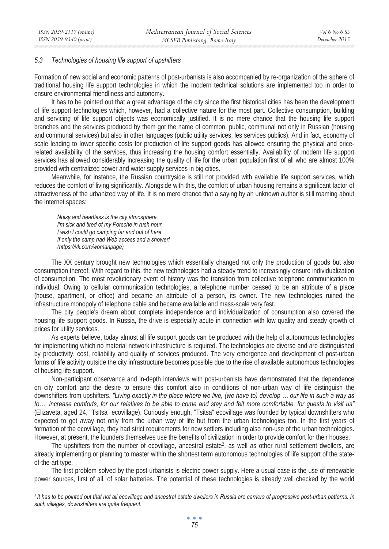### *5.3 Technologies of housing life support of upshifters*

Formation of new social and economic patterns of post-urbanists is also accompanied by re-organization of the sphere of traditional housing life support technologies in which the modern technical solutions are implemented too in order to ensure environmental friendliness and autonomy.

It has to be pointed out that a great advantage of the city since the first historical cities has been the development of life support technologies which, however, had a collective nature for the most part. Collective consumption, building and servicing of life support objects was economically justified. It is no mere chance that the housing life support branches and the services produced by them got the name of common, public, communal not only in Russian (housing and communal services) but also in other languages (public utility services, les services publics). And in fact, economy of scale leading to lower specific costs for production of life support goods has allowed ensuring the physical and pricerelated availability of the services, thus increasing the housing comfort essentially. Availability of modern life support services has allowed considerably increasing the quality of life for the urban population first of all who are almost 100% provided with centralized power and water supply services in big cities.

Meanwhile, for instance, the Russian countryside is still not provided with available life support services, which reduces the comfort of living significantly. Alongside with this, the comfort of urban housing remains a significant factor of attractiveness of the urbanized way of life. It is no mere chance that a saying by an unknown author is still roaming about the Internet spaces:

*Noisy and heartless is the city atmosphere, I'm sick and tired of my Porsche in rush hour, I wish I could go camping far and out of here If only the camp had Web access and a shower! (https://vk.com/womanpage)* 

The XX century brought new technologies which essentially changed not only the production of goods but also consumption thereof. With regard to this, the new technologies had a steady trend to increasingly ensure individualization of consumption. The most revolutionary event of history was the transition from collective telephone communication to individual. Owing to cellular communication technologies, a telephone number ceased to be an attribute of a place (house, apartment, or office) and became an attribute of a person, its owner. The new technologies ruined the infrastructure monopoly of telephone cable and became available and mass-scale very fast.

The city people's dream about complete independence and individualization of consumption also covered the housing life support goods. In Russia, the drive is especially acute in connection with low quality and steady growth of prices for utility services.

As experts believe, today almost all life support goods can be produced with the help of autonomous technologies for implementing which no material network infrastructure is required. The technologies are diverse and are distinguished by productivity, cost, reliability and quality of services produced. The very emergence and development of post-urban forms of life activity outside the city infrastructure becomes possible due to the rise of available autonomous technologies of housing life support.

Non-participant observance and in-depth interviews with post-urbanists have demonstrated that the dependence on city comfort and the desire to ensure this comfort also in conditions of non-urban way of life distinguish the downshifters from upshifters. *"Living exactly in the place where we live, (we have to) develop … our life in such a way as to…, increase comforts, for our relatives to be able to come and stay and felt more comfortable, for guests to visit us"*  (Elizaveta, aged 24, "Tsitsa" ecovillage). Curiously enough, "Tsitsa" ecovillage was founded by typical downshifters who expected to get away not only from the urban way of life but from the urban technologies too. In the first years of formation of the ecovillage, they had strict requirements for new settlers including also non-use of the urban technologies. However, at present, the founders themselves use the benefits of civilization in order to provide comfort for their houses.

The upshifters from the number of ecovillage, ancestral estate<sup>2</sup>, as well as other rural settlement dwellers, are already implementing or planning to master within the shortest term autonomous technologies of life support of the stateof-the-art type.

The first problem solved by the post-urbanists is electric power supply. Here a usual case is the use of renewable power sources, first of all, of solar batteries. The potential of these technologies is already well checked by the world

*<sup>2</sup> It has to be pointed out that not all ecovillage and ancestral estate dwellers in Russia are carriers of progressive post-urban patterns. In such villages, downshifters are quite frequent.*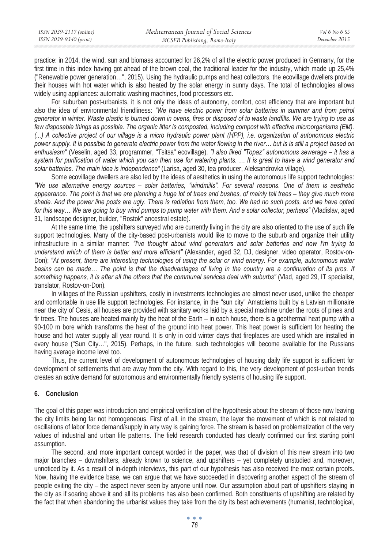practice: in 2014, the wind, sun and biomass accounted for 26,2% of all the electric power produced in Germany, for the first time in this index having got ahead of the brown coal, the traditional leader for the industry, which made up 25,4% ("Renewable power generation…", 2015). Using the hydraulic pumps and heat collectors, the ecovillage dwellers provide their houses with hot water which is also heated by the solar energy in sunny days. The total of technologies allows widely using appliances: automatic washing machines, food processors etc.

For suburban post-urbanists, it is not only the ideas of autonomy, comfort, cost efficiency that are important but also the idea of environmental friendliness: *"We have electric power from solar batteries in summer and from petrol generator in winter. Waste plastic is burned down in ovens, fires or disposed of to waste landfills. We are trying to use as few disposable things as possible. The organic litter is composted, including compost with effective microorganisms (EM). (...) A collective project of our village is a micro hydraulic power plant (HPP), i.e. organization of autonomous electric power supply. It is possible to generate electric power from the water flowing in the river… but is is still a project based on enthusiasm"* (Veselin, aged 33, programmer, "Tsitsa" ecovillage). *"I also liked "Topaz" autonomous sewerage – it has a system for purification of water which you can then use for watering plants. … It is great to have a wind generator and solar batteries. The main idea is independence"* (Larisa, aged 30, tea producer, Aleksandrovka village).

Some ecovillage dwellers are also led by the ideas of aesthetics in using the autonomous life support technologies: *"We use alternative energy sources – solar batteries, "windmills". For several reasons. One of them is aesthetic appearance. The point is that we are planning a huge lot of trees and bushes, of mainly tall trees – they give much more shade. And the power line posts are ugly. There is radiation from them, too. We had no such posts, and we have opted for this way… We are going to buy wind pumps to pump water with them. And a solar collector, perhaps"* (Vladislav, aged 31, landscape designer, builder, "Rostok" ancestral estate).

At the same time, the upshifters surveyed who are currently living in the city are also oriented to the use of such life support technologies. Many of the city-based post-urbanists would like to move to the suburb and organize their utility infrastructure in a similar manner: *"I've thought about wind generators and solar batteries and now I'm trying to understand which of them is better and more efficient"* (Alexander, aged 32, DJ, designer, video operator, Rostov-on-Don); "At present, there are interesting technologies of using the solar or wind energy. For example, autonomous water basins can be made... The point is that the disadvantages of living in the country are a continuation of its pros. If *something happens, it is after all the others that the communal services deal with suburbs"* (Vlad, aged 29, IT specialist, translator, Rostov-on-Don)*.* 

In villages of the Russian upshifters, costly in investments technologies are almost never used, unlike the cheaper and comfortable in use life support technologies. For instance, in the "sun city" Amatciems built by a Latvian millionaire near the city of Cesis, all houses are provided with sanitary works laid by a special machine under the roots of pines and fir trees. The houses are heated mainly by the heat of the Earth – in each house, there is a geothermal heat pump with a 90-100 m bore which transforms the heat of the ground into heat power. This heat power is sufficient for heating the house and hot water supply all year round. It is only in cold winter days that fireplaces are used which are installed in every house ("Sun City...", 2015). Perhaps, in the future, such technologies will become available for the Russians having average income level too.

Thus, the current level of development of autonomous technologies of housing daily life support is sufficient for development of settlements that are away from the city. With regard to this, the very development of post-urban trends creates an active demand for autonomous and environmentally friendly systems of housing life support.

## **6. Conclusion**

The goal of this paper was introduction and empirical verification of the hypothesis about the stream of those now leaving the city limits being far not homogeneous. First of all, in the stream, the layer the movement of which is not related to oscillations of labor force demand/supply in any way is gaining force. The stream is based on problematization of the very values of industrial and urban life patterns. The field research conducted has clearly confirmed our first starting point assumption.

The second, and more important concept worded in the paper, was that of division of this new stream into two major branches – downshifters, already known to science, and upshifters – yet completely unstudied and, moreover, unnoticed by it. As a result of in-depth interviews, this part of our hypothesis has also received the most certain proofs. Now, having the evidence base, we can argue that we have succeeded in discovering another aspect of the stream of people exiting the city – the aspect never seen by anyone until now. Our assumption about part of upshifters staying in the city as if soaring above it and all its problems has also been confirmed. Both constituents of upshifting are related by the fact that when abandoning the urbanist values they take from the city its best achievements (humanist, technological,